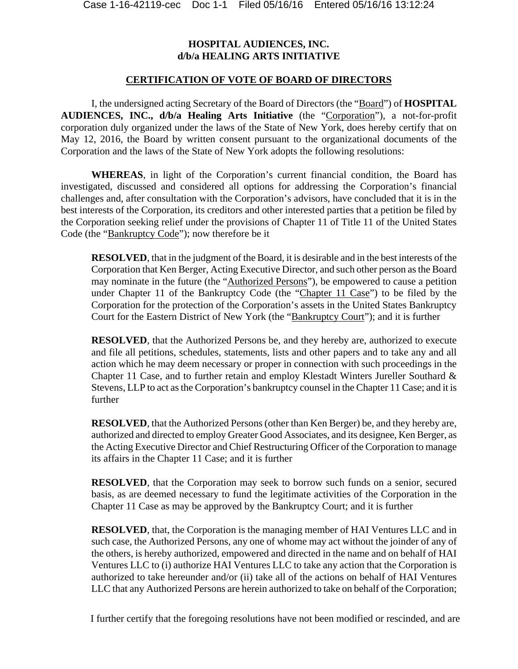## **HOSPITAL AUDIENCES, INC. d/b/a HEALING ARTS INITIATIVE**

## **CERTIFICATION OF VOTE OF BOARD OF DIRECTORS**

I, the undersigned acting Secretary of the Board of Directors (the "Board") of **HOSPITAL AUDIENCES, INC., d/b/a Healing Arts Initiative** (the "Corporation"), a not-for-profit corporation duly organized under the laws of the State of New York, does hereby certify that on May 12, 2016, the Board by written consent pursuant to the organizational documents of the Corporation and the laws of the State of New York adopts the following resolutions:

**WHEREAS**, in light of the Corporation's current financial condition, the Board has investigated, discussed and considered all options for addressing the Corporation's financial challenges and, after consultation with the Corporation's advisors, have concluded that it is in the best interests of the Corporation, its creditors and other interested parties that a petition be filed by the Corporation seeking relief under the provisions of Chapter 11 of Title 11 of the United States Code (the "Bankruptcy Code"); now therefore be it

**RESOLVED**, that in the judgment of the Board, it is desirable and in the best interests of the Corporation that Ken Berger, Acting Executive Director, and such other person as the Board may nominate in the future (the "Authorized Persons"), be empowered to cause a petition under Chapter 11 of the Bankruptcy Code (the "Chapter 11 Case") to be filed by the Corporation for the protection of the Corporation's assets in the United States Bankruptcy Court for the Eastern District of New York (the "Bankruptcy Court"); and it is further

**RESOLVED**, that the Authorized Persons be, and they hereby are, authorized to execute and file all petitions, schedules, statements, lists and other papers and to take any and all action which he may deem necessary or proper in connection with such proceedings in the Chapter 11 Case, and to further retain and employ Klestadt Winters Jureller Southard & Stevens, LLP to act as the Corporation's bankruptcy counsel in the Chapter 11 Case; and it is further

**RESOLVED**, that the Authorized Persons (other than Ken Berger) be, and they hereby are, authorized and directed to employ Greater Good Associates, and its designee, Ken Berger, as the Acting Executive Director and Chief Restructuring Officer of the Corporation to manage its affairs in the Chapter 11 Case; and it is further

**RESOLVED**, that the Corporation may seek to borrow such funds on a senior, secured basis, as are deemed necessary to fund the legitimate activities of the Corporation in the Chapter 11 Case as may be approved by the Bankruptcy Court; and it is further

**RESOLVED**, that, the Corporation is the managing member of HAI Ventures LLC and in such case, the Authorized Persons, any one of whome may act without the joinder of any of the others, is hereby authorized, empowered and directed in the name and on behalf of HAI Ventures LLC to (i) authorize HAI Ventures LLC to take any action that the Corporation is authorized to take hereunder and/or (ii) take all of the actions on behalf of HAI Ventures LLC that any Authorized Persons are herein authorized to take on behalf of the Corporation;

I further certify that the foregoing resolutions have not been modified or rescinded, and are